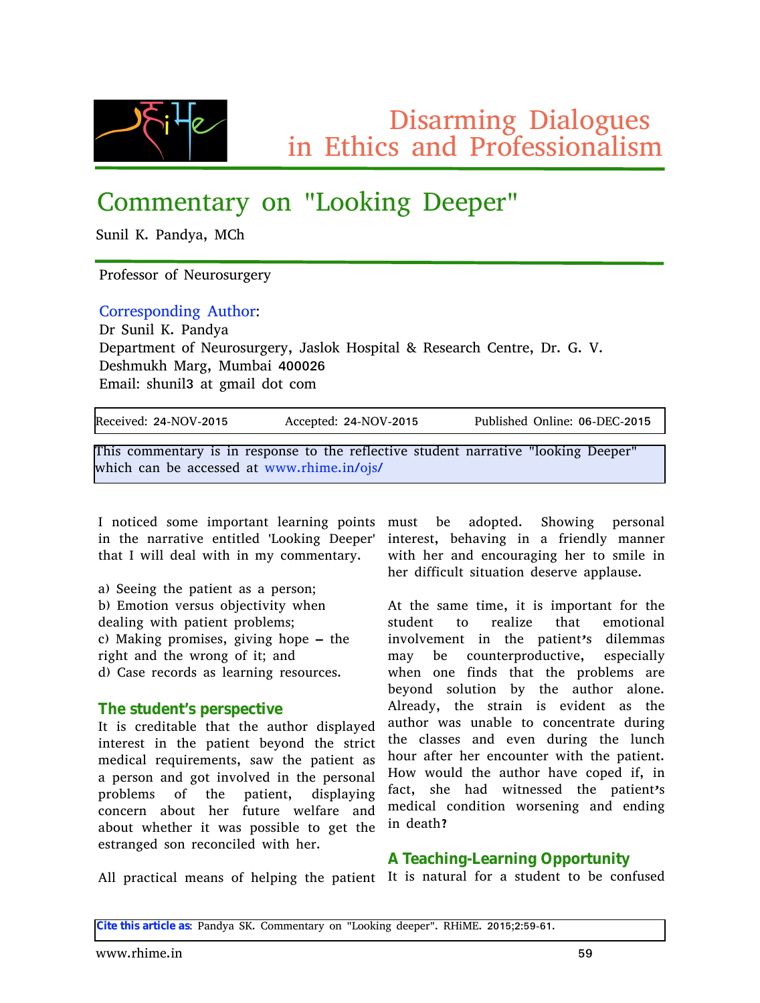$Z$ •‰ $\hat{y}$  $f$  •,,  $Z$   $\infty$ w, ..}.  $\langle \ \frac{9}{60}$ •, [ S-•y%dv, z f ^... {%o., w. •%fo

# $Y..f\,f\, \{~,{\bf S}\!\mathit{w}\!\!\bullet\;\cdot~,,\;\;~\!\!\circ\;\!{\sf b}....{\bullet}\!\!\bullet, \}\,$   $\mathsf{Z}\{\{\dagger\{\hspace{-0.08cm}\cdot\hspace{-0.08cm}\cdot\hspace{-0.08cm}\cdot\hspace{-0.08cm}\cdot\hspace{-0.08cm}\cdot\hspace{-0.08cm}\cdot\hspace{-0.08cm}\cdot\hspace{-0.08cm}\cdot\hspace{-0.08cm}\cdot\hspace{-0.08cm}\cdot\hspace{-0.08cm}\cdot\hspace{-0.08cm}\cdot\hspace{-0.08cm}\cdot\hspace{-0.08cm$

 $i \leftarrow$ ,  $\bullet$ , a7 f w, z $\bullet$  w5 c Y~

f  $\hat{ }$ ....{{%%%^...} d {  $\langle$  ^...%%^} { ^.

Y…^^{%#o… z•,, } W· Š~…^N  $Z^{\hat{ }}$  i  $\langle , \bullet , \bullet , \bullet , \bullet , \bullet \rangle$  $Z{\uparrow}$ ŵŠJ {"Š." $d{\check{}}$   $\cdot$  ..‰^}{^•5`w‱.• ^ ..‱Šw. - h{‰ŵy~ Y{"Š{5Z^7]7|7  $Z\{\%of \leftarrow c \le \hat{W}\}5c \cdot f \times \text{W} \cdot B: : \Rightarrow F$  $\int f$  w•, N‰ $\langle$  ,, •, @wŠ}  $f$  w•, z. Šy.  $f$ 

 $|h\{y\}$  • O EzN>B6d e l 6>: <D Wyγ{†Š(zN>B6d e l 6>: <D f ‹x,•‰{z e ",•"{N: F6Z[Y6>: <D

j ~•‰y…ƒƒ{"Šw^•–‰•,, ^{%p…,%oŠ…Š~{^{|,{yŠQE%Šz{"Š,,w^wŠQE',……••,,} Z{{†{^  $\sim$  yw, x{ wyy{% (2 wS • • 7  $\sim$  of {7, 8. @ &

\_ "…Šy{z ‰ $f$ { • $f$ †…^Šv,Ś,{ŵ,•,,} †…•,,Љ $f$ ‹‰Š x{ wz..†Š{z7 i~…•.•,,} †{^%。,w, •,, Š~{ "W^W�Œ{,,ŚŚ{z .b…..•.•,,} Z{{†{^. •,,Ś(^{%â5 x{~wŒ,} •,, w |^•{,,z,• ƒw,,,{^  $\check{S}$ w $\check{S}$  • •,  $z$ {w $\bullet$  •  $\check{S}$  •,  $f \bullet y$   $f$   $f$  {  $\check{S}$ w $\bullet$  7 • •Š $\sim$ { ^ w, z { , y . \ ^ w} • , } ~{ ^ Š.  $\%$  •, { •,

w0 i  $\{ \{\bullet, \} \ \S \{ \ \dagger \}$   $\{ \forall \forall \{ \} , \ \S \ \text{wh} \ \dagger \{ \ \hat{\} \% \}$  O  $x0$  [  $f \cdot .\dot{S}$ .  $\infty$  C  $\xi^{\circ}\%$ %  $\infty$   $x \notin y\dot{S}$ CES • ~{,  $z{w_{\cdot}} \rightarrow \dot{\mathbf{S}}$  +  $\dot{\mathbf{S}}$  +  $\ddot{\mathbf{S}}$  +  $\ddot{\mathbf{S}}$  +  $\ddot{\mathbf{S}}$  +  $\ddot{\mathbf{S}}$  +  $\ddot{\mathbf{S}}$  +  $\ddot{\mathbf{S}}$  +  $\ddot{\mathbf{S}}$  +  $\ddot{\mathbf{S}}$  +  $\ddot{\mathbf{S}}$  +  $\ddot{\mathbf{S}}$  +  $\ddot{\mathbf{S}}$  +  $\ddot{\mathbf{S}}$  +  $\ddot{\mathbf{S}}$  +  $\ddot$  $y0 \text{ c w} \cdot y$ ,  $\uparrow$   $\hat{f} \cdot f \cdot \frac{\sqrt{6}}{6}$   $\cdot$   $\cdot$   $\bullet$   $\left\{ \begin{array}{ccc} - & \text{S} \cdot \{ \end{array} \right\}$  $\hat{\bullet}$  ~Š w, z Š {  $\bullet$  ^..,, } ...|  $\hat{\bullet}$ S w, z z0 Yw% ^{y.^z%w% { w<sup>2</sup>, •, } ^{% os ^y{%

#### Ui f t uvef ou(t qf st qf dujwf

\_Š •‰y^{z•Šwx,{ Š~wŠ Š~{ w Š~…̂ z•‰,w•{z •,, Š{^{%Š •,, Š~{ †wŠ{,, Š x{• …,, z Š~{ %Š\*yŠ  $f$  {z•yw, ^{ $\ddagger$ ‹•^{ $f$  {,, \$%G ‰• S~{ †w $\dot{\mathbf{\Theta}}$ {,, S w‰ w †{^‰,, w, z }…Š •,, Œ…Œz •,, Š~{ †{^‰,, w,  $\uparrow$  …x,{ $f$  ‰ …|  $\mathcal{S}$ -{  $\uparrow$  W $\mathcal{S}$ {" $\mathfrak{S}$  z•‰,w•,}  $\uparrow$   $x, \{f\%$   $\ldots$   $S \in \{ \text{twof } S \text{ is a zero, we are } y \in \mathbb{R} \}$ <br>
y..., y{ $\hat{y}$ , wx...  $\hat{S} \sim \{ \text{twof } S \text{ is a positive, we are } y \in \mathbb{R} \}$ wx…<Š•~{Š{^•Š•w‰†…‰\*\*\*\*\*\*\*{ Š…}{ŠŠ{  $\{ \% \& W, \}$  {  $Z \%$ <sub>0</sub>,  $\hat{ }$  {  $y...$ ,  $y \bullet$  {  $Z \bullet \bullet \& \sim$  { $\hat{ }$  7

 $-\{-2 \cdot | \cdot y \cdot \rangle \stackrel{<}{\sim} \mathcal{S} \otimes \mathcal{S} \times \mathcal{S} \cdots$  z $\{\% \circ C \in \mathcal{S} \times \mathcal{S} + \mathcal{S} \times \mathcal{S} \times \mathcal{S} \times \mathcal{S} \times \mathcal{S} \times \mathcal{S} \times \mathcal{S} \times \mathcal{S} \times \mathcal{S} \times \mathcal{S} \times \mathcal{S} \times \mathcal{S} \times \mathcal{S} \times \mathcal{S} \times \mathcal{S} \times \mathcal{S} \times \mathcal{S} \times \mathcal{S} \times \$  $W\acute{S} \simeq \{$  %wf {  $\check{S}f$  { 5 •  $\check{S}$  • % $\circ$ •  $f$   $\dots$   $\check{S}v$ ,  $\check{S}$   $|\dots$   $\check{S}v$  {  $\frac{1}{2}$   $\frac{1}{2}$   $\frac{1}{2}$   $\frac{1}{2}$   $\frac{1}{2}$   $\frac{1}{2}$   $\frac{1}{2}$   $\frac{1}{2}$   $\frac{1}{2}$   $\frac{1}{2}$   $\frac{1}{2}$   $\frac{1}{2}$   $\frac{1}{2}$   $\frac{1}{2}$   $\frac{1}{2}$   $\frac{1}{2}$   $\frac{1}{2}$   $\frac{1}{2}$   $\frac{1}{2}$   $\frac{1}{2}$   $\frac{1}{2}$   $\frac{1}{2}$   $\bullet$ " Œ…Œ $f$  {" Š $\bullet$ " Š $\bullet$ { † $\mathsf{t}\mathsf{w}\mathsf{\Theta}$ {" Љ z $\bullet$ , { $f$   $f$  w‰  $f$  w● x{ y…‹ " ସି ˆ†ˆ. .z ‹ yອ໋Oξ5 { ‰{ y●w, ,●  $\bullet$  ~{,, …,, { |•,, z‰ Š~wŠ Š~{ †^..x, { $f$  ‰ ŵ{  $x{\cdot} \cdot ...$ , z ‰, $\cdot \check{S}...$  x• Š $\{\ w \&...$  w.,  $\{7\}$  $W \hat{\cdot}$ { wz•5  $\hat{S}$ -{ % $\hat{S}$  w $\hat{S}$ ,  $\hat{S}$  \so \somegala \somegala \somegala \somegala \somegala \somegala \somegala \somegala \somegala \somegala \somegala \somegala \somegala \somegala \somegala \somegala \some  $w\; \dot{\mathbf{S}}...\;$  • w‰ $\langle$  ,, wx, $\{$   $\; \dot{\mathbf{S}}..\; \mathrm{y}$ . .,, y $\{$  ,,  $\dot{\mathbf{S}}$ w $\dot{\mathbf{Q}}$   $\;$  z $\langle$  ^ $\bullet$ ,,  $\}$  $\mathcal{S}\{y, w\}_{0}$  (%, w, z  $\{Q\xi, z \in \mathcal{S}\}$ ,  $\mathcal{S}\{y, y\}$ ~..\^ \\\$^ ~{^ {"y..\"\$^ • •\$~ \$~{ †\\\${"\$7 ^ …• • …‹,z Š~{ w·Š…̂ ~wŒ y…†{z •|5 •"  $|wy\tilde{S} \rangle$  ‰{ ~wz • •Š; {%{( $\alpha$  Š-{  $\uparrow$   $W\tilde{S}$ {,  $\tilde{S}$ %  $f\{\texttt{z}\text{-}\mathsf{y}\mathsf{w}, \texttt{y}...\texttt{z}\text{-}\mathsf{\dot{S}}...\texttt{y} \quad \bullet \quad \hat{\mathsf{w}}\{\mathsf{Q}_0,\bullet,,\} \quad \mathsf{W},\mathsf{z} \quad \{,,\mathsf{z}\text{-}\mathsf{y},\}$ •,  $z \{ wS-T \}$ 

W, †^wyŠyw, ƒ {w,,‰.¦ ~{,†•,,} Š~{ †wŠ{,,Š \_Š •‰,, wŠ ^w, |..^. w %Š z{,,Š Š.. x{ y..,,|‹%|z B U bdi joh. M bsojoh Pqqpsuvojuz

Djuf ui jt bsujdmf bt Nf w" z• w i a7 Y…ƒ ƒ {" Šwˆ• …" ' b……• •" } z{{†{ˆ' 7 h^ •c [ 7 >: <DO>NDL6F<7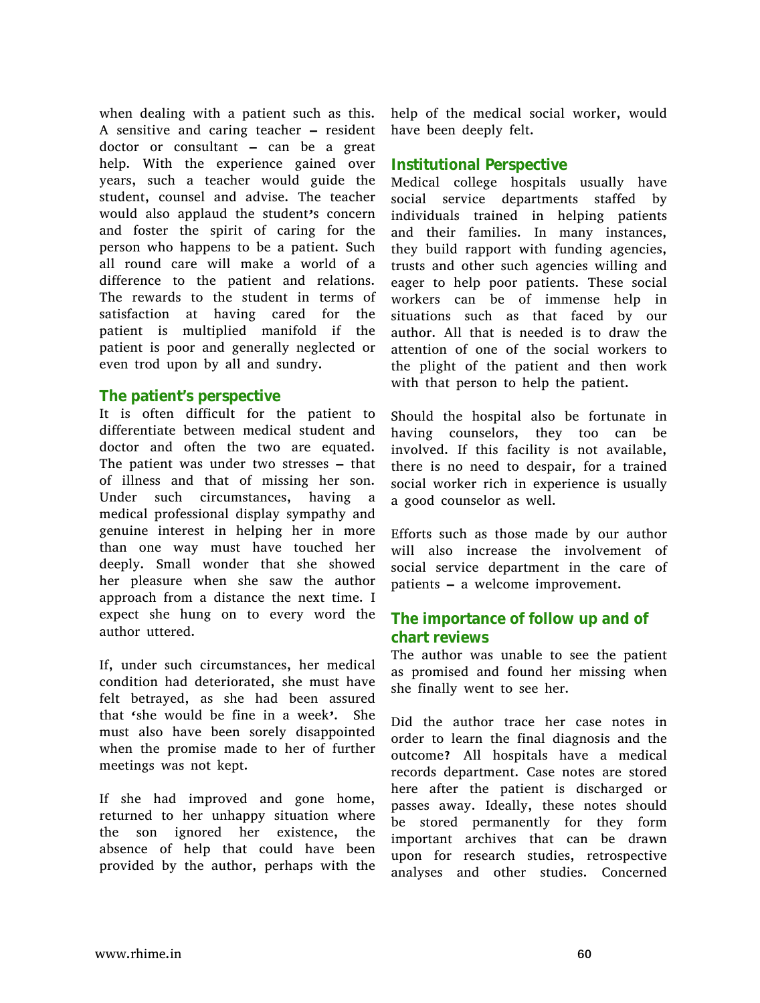when dealing with a patient such as this. A sensitive and caring teacher – resident doctor or consultant – can be a great help. With the experience gained over years, such a teacher would guide the student, counsel and advise. The teacher would also applaud the student's concern and foster the spirit of caring for the person who happens to be a patient. Such all round care will make a world of a difference to the patient and relations. The rewards to the student in terms of satisfaction at having cared for the patient is multiplied manifold if the patient is poor and generally neglected or even trod upon by all and sundry.

#### **The patient's perspective**

It is often difficult for the patient to differentiate between medical student and doctor and often the two are equated. The patient was under two stresses – that of illness and that of missing her son. Under such circumstances, having a medical professional display sympathy and genuine interest in helping her in more than one way must have touched her deeply. Small wonder that she showed her pleasure when she saw the author approach from a distance the next time. I expect she hung on to every word the author uttered.

If, under such circumstances, her medical condition had deteriorated, she must have felt betrayed, as she had been assured that 'she would be fine in a week'. She must also have been sorely disappointed when the promise made to her of further meetings was not kept.

If she had improved and gone home, returned to her unhappy situation where the son ignored her existence, the absence of help that could have been provided by the author, perhaps with the

help of the medical social worker, would have been deeply felt.

### **Institutional Perspective**

Medical college hospitals usually have social service departments staffed by individuals trained in helping patients and their families. In many instances, they build rapport with funding agencies, trusts and other such agencies willing and eager to help poor patients. These social workers can be of immense help in situations such as that faced by our author. All that is needed is to draw the attention of one of the social workers to the plight of the patient and then work with that person to help the patient.

Should the hospital also be fortunate in having counselors, they too can be involved. If this facility is not available, there is no need to despair, for a trained social worker rich in experience is usually a good counselor as well.

Efforts such as those made by our author will also increase the involvement of social service department in the care of patients – a welcome improvement.

## **The importance of follow up and of chart reviews**

The author was unable to see the patient as promised and found her missing when she finally went to see her.

Did the author trace her case notes in order to learn the final diagnosis and the outcome? All hospitals have a medical records department. Case notes are stored here after the patient is discharged or passes away. Ideally, these notes should be stored permanently for they form important archives that can be drawn upon for research studies, retrospective analyses and other studies. Concerned